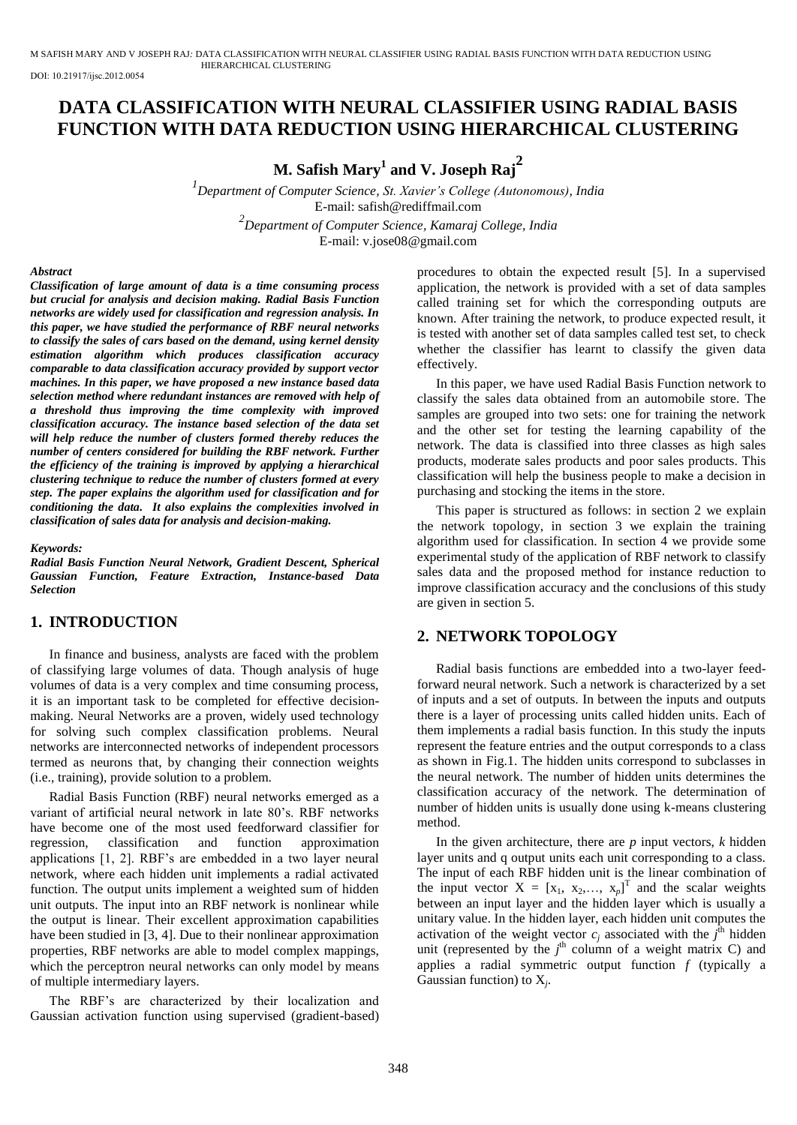M SAFISH MARY AND V JOSEPH RAJ*:* DATA CLASSIFICATION WITH NEURAL CLASSIFIER USING RADIAL BASIS FUNCTION WITH DATA REDUCTION USING HIERARCHICAL CLUSTERING

DOI: 10.21917/ijsc.2012.0054

# **DATA CLASSIFICATION WITH NEURAL CLASSIFIER USING RADIAL BASIS FUNCTION WITH DATA REDUCTION USING HIERARCHICAL CLUSTERING**

**M. Safish Mary<sup>1</sup> and V. Joseph Raj<sup>2</sup>**

*1 Department of Computer Science, St. Xavier's College (Autonomous), India*  E-mail: safish@rediffmail.com *2 Department of Computer Science, Kamaraj College, India*  E-mail: v.jose08@gmail.com

#### *Abstract*

*Classification of large amount of data is a time consuming process but crucial for analysis and decision making. Radial Basis Function networks are widely used for classification and regression analysis. In this paper, we have studied the performance of RBF neural networks to classify the sales of cars based on the demand, using kernel density estimation algorithm which produces classification accuracy comparable to data classification accuracy provided by support vector machines. In this paper, we have proposed a new instance based data selection method where redundant instances are removed with help of a threshold thus improving the time complexity with improved classification accuracy. The instance based selection of the data set will help reduce the number of clusters formed thereby reduces the number of centers considered for building the RBF network. Further the efficiency of the training is improved by applying a hierarchical clustering technique to reduce the number of clusters formed at every step. The paper explains the algorithm used for classification and for conditioning the data. It also explains the complexities involved in classification of sales data for analysis and decision-making.* 

*Keywords:* 

*Radial Basis Function Neural Network, Gradient Descent, Spherical Gaussian Function, Feature Extraction, Instance-based Data Selection* 

# **1. INTRODUCTION**

In finance and business, analysts are faced with the problem of classifying large volumes of data. Though analysis of huge volumes of data is a very complex and time consuming process, it is an important task to be completed for effective decisionmaking. Neural Networks are a proven, widely used technology for solving such complex classification problems. Neural networks are interconnected networks of independent processors termed as neurons that, by changing their connection weights (i.e., training), provide solution to a problem.

Radial Basis Function (RBF) neural networks emerged as a variant of artificial neural network in late 80's. RBF networks have become one of the most used feedforward classifier for regression, classification and function approximation applications [1, 2]. RBF's are embedded in a two layer neural network, where each hidden unit implements a radial activated function. The output units implement a weighted sum of hidden unit outputs. The input into an RBF network is nonlinear while the output is linear. Their excellent approximation capabilities have been studied in [3, 4]. Due to their nonlinear approximation properties, RBF networks are able to model complex mappings, which the perceptron neural networks can only model by means of multiple intermediary layers.

The RBF's are characterized by their localization and Gaussian activation function using supervised (gradient-based) procedures to obtain the expected result [5]. In a supervised application, the network is provided with a set of data samples called training set for which the corresponding outputs are known. After training the network, to produce expected result, it is tested with another set of data samples called test set, to check whether the classifier has learnt to classify the given data effectively.

In this paper, we have used Radial Basis Function network to classify the sales data obtained from an automobile store. The samples are grouped into two sets: one for training the network and the other set for testing the learning capability of the network. The data is classified into three classes as high sales products, moderate sales products and poor sales products. This classification will help the business people to make a decision in purchasing and stocking the items in the store.

This paper is structured as follows: in section 2 we explain the network topology, in section 3 we explain the training algorithm used for classification. In section 4 we provide some experimental study of the application of RBF network to classify sales data and the proposed method for instance reduction to improve classification accuracy and the conclusions of this study are given in section 5.

## **2. NETWORK TOPOLOGY**

Radial basis functions are embedded into a two-layer feedforward neural network. Such a network is characterized by a set of inputs and a set of outputs. In between the inputs and outputs there is a layer of processing units called hidden units. Each of them implements a radial basis function. In this study the inputs represent the feature entries and the output corresponds to a class as shown in Fig.1. The hidden units correspond to subclasses in the neural network. The number of hidden units determines the classification accuracy of the network. The determination of number of hidden units is usually done using k-means clustering method.

In the given architecture, there are  $p$  input vectors,  $k$  hidden layer units and q output units each unit corresponding to a class. The input of each RBF hidden unit is the linear combination of the input vector  $X = [x_1, x_2,..., x_p]^T$  and the scalar weights between an input layer and the hidden layer which is usually a unitary value. In the hidden layer, each hidden unit computes the activation of the weight vector  $c_j$  associated with the  $j^{\text{th}}$  hidden unit (represented by the  $j<sup>th</sup>$  column of a weight matrix C) and applies a radial symmetric output function *f* (typically a Gaussian function) to  $X_j$ .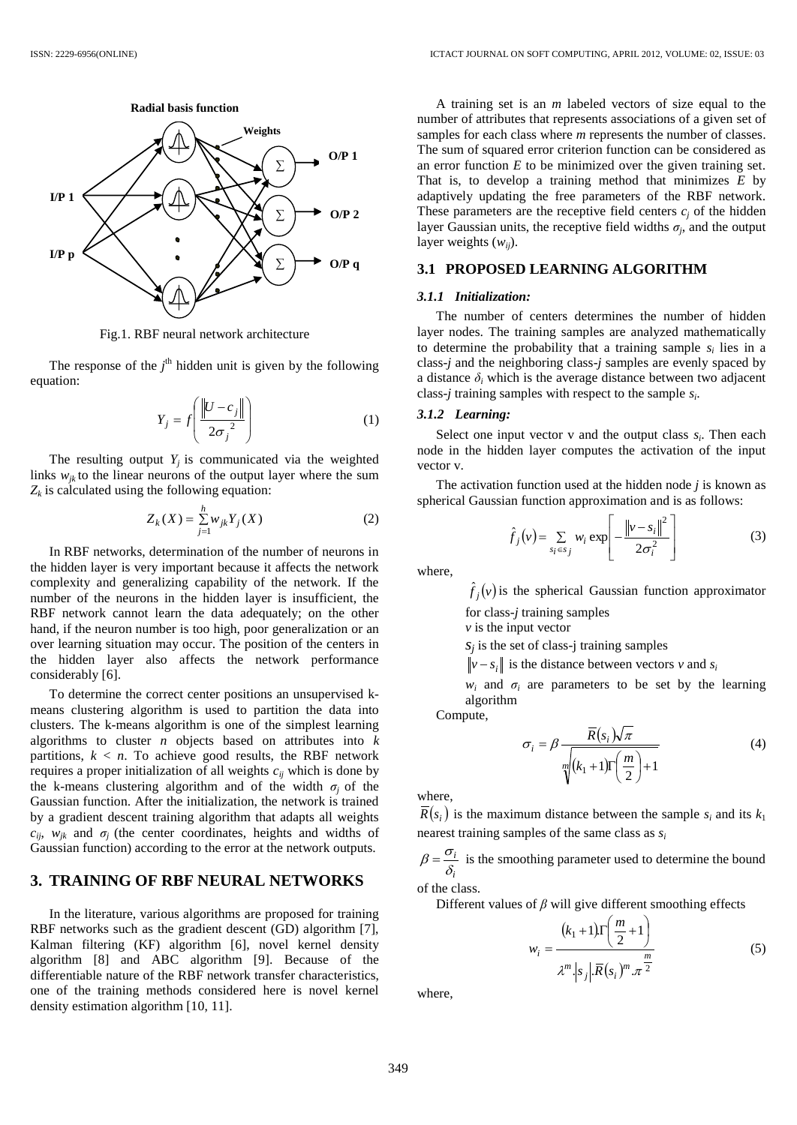

Fig.1. RBF neural network architecture

The response of the  $j^{\text{th}}$  hidden unit is given by the following equation:

$$
Y_j = f\left(\frac{\left\|U - c_j\right\|}{2\sigma_j^2}\right) \tag{1}
$$

The resulting output  $Y_j$  is communicated via the weighted links  $w_{ik}$  to the linear neurons of the output layer where the sum  $Z_k$  is calculated using the following equation:

$$
Z_k(X) = \sum_{j=1}^h w_{jk} Y_j(X)
$$
 (2)

In RBF networks, determination of the number of neurons in the hidden layer is very important because it affects the network complexity and generalizing capability of the network. If the number of the neurons in the hidden layer is insufficient, the RBF network cannot learn the data adequately; on the other hand, if the neuron number is too high, poor generalization or an over learning situation may occur. The position of the centers in the hidden layer also affects the network performance considerably [6].

To determine the correct center positions an unsupervised kmeans clustering algorithm is used to partition the data into clusters. The k-means algorithm is one of the simplest learning algorithms to cluster *n* objects based on attributes into *k* partitions,  $k < n$ . To achieve good results, the RBF network requires a proper initialization of all weights  $c_{ij}$  which is done by the k-means clustering algorithm and of the width  $\sigma_i$  of the Gaussian function. After the initialization, the network is trained by a gradient descent training algorithm that adapts all weights  $c_{ij}$ ,  $w_{jk}$  and  $\sigma_j$  (the center coordinates, heights and widths of Gaussian function) according to the error at the network outputs.

#### **3. TRAINING OF RBF NEURAL NETWORKS**

In the literature, various algorithms are proposed for training RBF networks such as the gradient descent (GD) algorithm [7], Kalman filtering (KF) algorithm [6], novel kernel density algorithm [8] and ABC algorithm [9]. Because of the differentiable nature of the RBF network transfer characteristics, one of the training methods considered here is novel kernel density estimation algorithm [10, 11].

A training set is an *m* labeled vectors of size equal to the number of attributes that represents associations of a given set of samples for each class where *m* represents the number of classes. The sum of squared error criterion function can be considered as an error function *E* to be minimized over the given training set. That is, to develop a training method that minimizes *E* by adaptively updating the free parameters of the RBF network. These parameters are the receptive field centers  $c_i$  of the hidden layer Gaussian units, the receptive field widths  $\sigma_j$ , and the output layer weights (*wij*).

### **3.1 PROPOSED LEARNING ALGORITHM**

#### *3.1.1 Initialization:*

The number of centers determines the number of hidden layer nodes. The training samples are analyzed mathematically to determine the probability that a training sample  $s_i$  lies in a class-*j* and the neighboring class-*j* samples are evenly spaced by a distance  $\delta$ *i* which is the average distance between two adjacent class-*j* training samples with respect to the sample *s<sup>i</sup>* .

### *3.1.2 Learning:*

Select one input vector  $v$  and the output class  $s_i$ . Then each node in the hidden layer computes the activation of the input vector v.

The activation function used at the hidden node *j* is known as spherical Gaussian function approximation and is as follows:

$$
\hat{f}_j(v) = \sum_{s_i \in s_j} w_i \exp\left[-\frac{\left\|v - s_i\right\|^2}{2\sigma_i^2}\right] \tag{3}
$$

where,

 $\hat{f}_j(v)$  is the spherical Gaussian function approximator

for class-*j* training samples

*v* is the input vector

 $s_j$  is the set of class-j training samples

 $v - s_i$  is the distance between vectors *v* and *s<sub>i</sub>* 

 $w_i$  and  $\sigma_i$  are parameters to be set by the learning algorithm

Compute,

$$
\sigma_i = \beta \frac{\overline{R}(s_i)\sqrt{\pi}}{\sqrt[m]{(k_1+1)\Gamma(\frac{m}{2})+1}} \tag{4}
$$

where,

 $R(s_i)$  is the maximum distance between the sample  $s_i$  and its  $k_1$ nearest training samples of the same class as *s<sup>i</sup>*

*i i*  $\delta$  $\beta = \frac{\sigma_i}{\sigma}$  is the smoothing parameter used to determine the bound of the class.

Different values of *β* will give different smoothing effects

$$
w_i = \frac{(k_1 + 1)\Gamma\left(\frac{m}{2} + 1\right)}{\lambda^m \left|s_j\right| \overline{R}(s_i)^m \cdot \pi^{\frac{m}{2}}}
$$
\n(5)

where,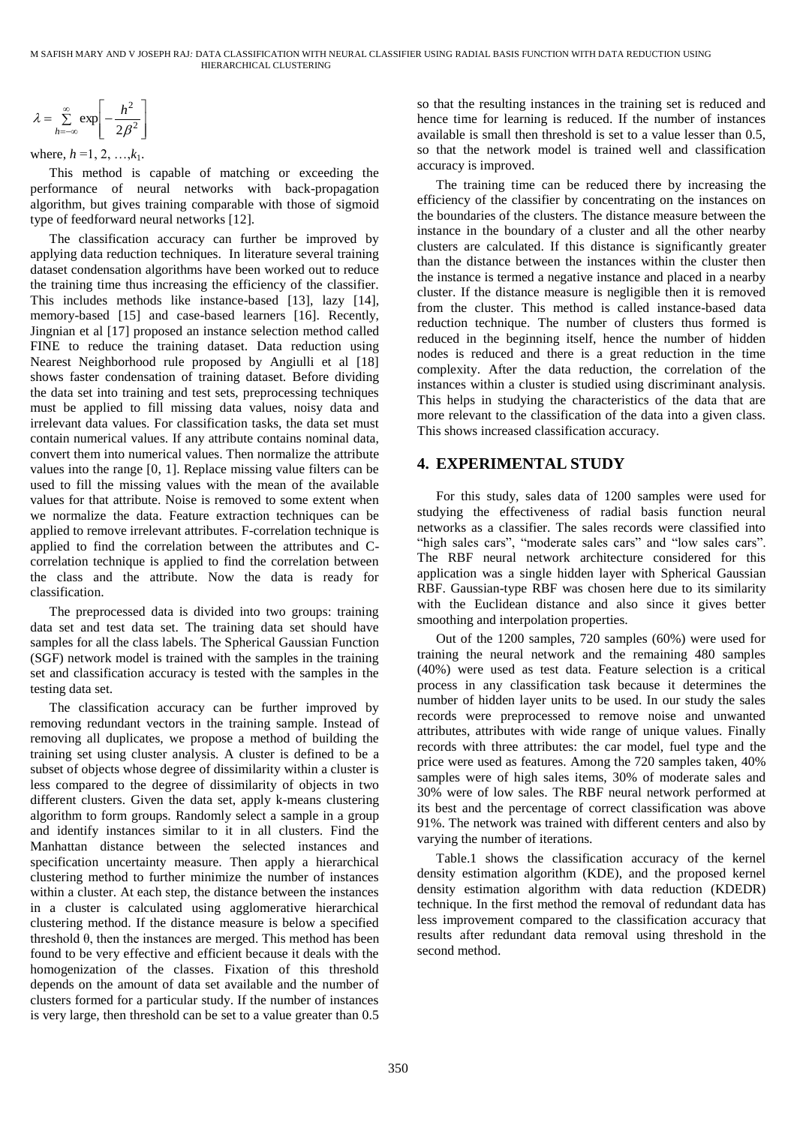$$
\lambda = \sum_{h=-\infty}^{\infty} \exp \left[-\frac{h^2}{2\beta^2}\right]
$$

where,  $h = 1, 2, ..., k_1$ .

This method is capable of matching or exceeding the performance of neural networks with back-propagation algorithm, but gives training comparable with those of sigmoid type of feedforward neural networks [12].

 $\sum_{c=6}^{\infty} \exp\left[-\frac{2}{2\beta^2}\right]$ .<br>  $\sum_{c=6}^{\infty} \exp\left[-\frac{2}{2\beta^2}\right]$ .<br>  $h, h = 1, 2, ..., k_1$ .<br>  $h, h = 2, ..., k_n$ .<br>
is method is capable of matching cor exceeding the moment of iceural neural neural neural neural neural neural neural The classification accuracy can further be improved by applying data reduction techniques. In literature several training dataset condensation algorithms have been worked out to reduce the training time thus increasing the efficiency of the classifier. This includes methods like instance-based [13], lazy [14], memory-based [15] and case-based learners [16]. Recently, Jingnian et al [17] proposed an instance selection method called FINE to reduce the training dataset. Data reduction using Nearest Neighborhood rule proposed by Angiulli et al [18] shows faster condensation of training dataset. Before dividing the data set into training and test sets, preprocessing techniques must be applied to fill missing data values, noisy data and irrelevant data values. For classification tasks, the data set must contain numerical values. If any attribute contains nominal data, convert them into numerical values. Then normalize the attribute values into the range [0, 1]. Replace missing value filters can be used to fill the missing values with the mean of the available values for that attribute. Noise is removed to some extent when we normalize the data. Feature extraction techniques can be applied to remove irrelevant attributes. F-correlation technique is applied to find the correlation between the attributes and Ccorrelation technique is applied to find the correlation between the class and the attribute. Now the data is ready for classification.

The preprocessed data is divided into two groups: training data set and test data set. The training data set should have samples for all the class labels. The Spherical Gaussian Function (SGF) network model is trained with the samples in the training set and classification accuracy is tested with the samples in the testing data set.

The classification accuracy can be further improved by removing redundant vectors in the training sample. Instead of removing all duplicates, we propose a method of building the training set using cluster analysis. A cluster is defined to be a subset of objects whose degree of dissimilarity within a cluster is less compared to the degree of dissimilarity of objects in two different clusters. Given the data set, apply k-means clustering algorithm to form groups. Randomly select a sample in a group and identify instances similar to it in all clusters. Find the Manhattan distance between the selected instances and specification uncertainty measure. Then apply a hierarchical clustering method to further minimize the number of instances within a cluster. At each step, the distance between the instances in a cluster is calculated using agglomerative hierarchical clustering method. If the distance measure is below a specified threshold  $\theta$ , then the instances are merged. This method has been found to be very effective and efficient because it deals with the homogenization of the classes. Fixation of this threshold depends on the amount of data set available and the number of clusters formed for a particular study. If the number of instances is very large, then threshold can be set to a value greater than 0.5

so that the resulting instances in the training set is reduced and hence time for learning is reduced. If the number of instances available is small then threshold is set to a value lesser than 0.5, so that the network model is trained well and classification accuracy is improved.

The training time can be reduced there by increasing the efficiency of the classifier by concentrating on the instances on the boundaries of the clusters. The distance measure between the instance in the boundary of a cluster and all the other nearby clusters are calculated. If this distance is significantly greater than the distance between the instances within the cluster then the instance is termed a negative instance and placed in a nearby cluster. If the distance measure is negligible then it is removed from the cluster. This method is called instance-based data reduction technique. The number of clusters thus formed is reduced in the beginning itself, hence the number of hidden nodes is reduced and there is a great reduction in the time complexity. After the data reduction, the correlation of the instances within a cluster is studied using discriminant analysis. This helps in studying the characteristics of the data that are more relevant to the classification of the data into a given class. This shows increased classification accuracy.

# **4. EXPERIMENTAL STUDY**

For this study, sales data of 1200 samples were used for studying the effectiveness of radial basis function neural networks as a classifier. The sales records were classified into "high sales cars", "moderate sales cars" and "low sales cars". The RBF neural network architecture considered for this application was a single hidden layer with Spherical Gaussian RBF. Gaussian-type RBF was chosen here due to its similarity with the Euclidean distance and also since it gives better smoothing and interpolation properties.

Out of the 1200 samples, 720 samples (60%) were used for training the neural network and the remaining 480 samples (40%) were used as test data. Feature selection is a critical process in any classification task because it determines the number of hidden layer units to be used. In our study the sales records were preprocessed to remove noise and unwanted attributes, attributes with wide range of unique values. Finally records with three attributes: the car model, fuel type and the price were used as features. Among the 720 samples taken, 40% samples were of high sales items, 30% of moderate sales and 30% were of low sales. The RBF neural network performed at its best and the percentage of correct classification was above 91%. The network was trained with different centers and also by varying the number of iterations.

Table.1 shows the classification accuracy of the kernel density estimation algorithm (KDE), and the proposed kernel density estimation algorithm with data reduction (KDEDR) technique. In the first method the removal of redundant data has less improvement compared to the classification accuracy that results after redundant data removal using threshold in the second method.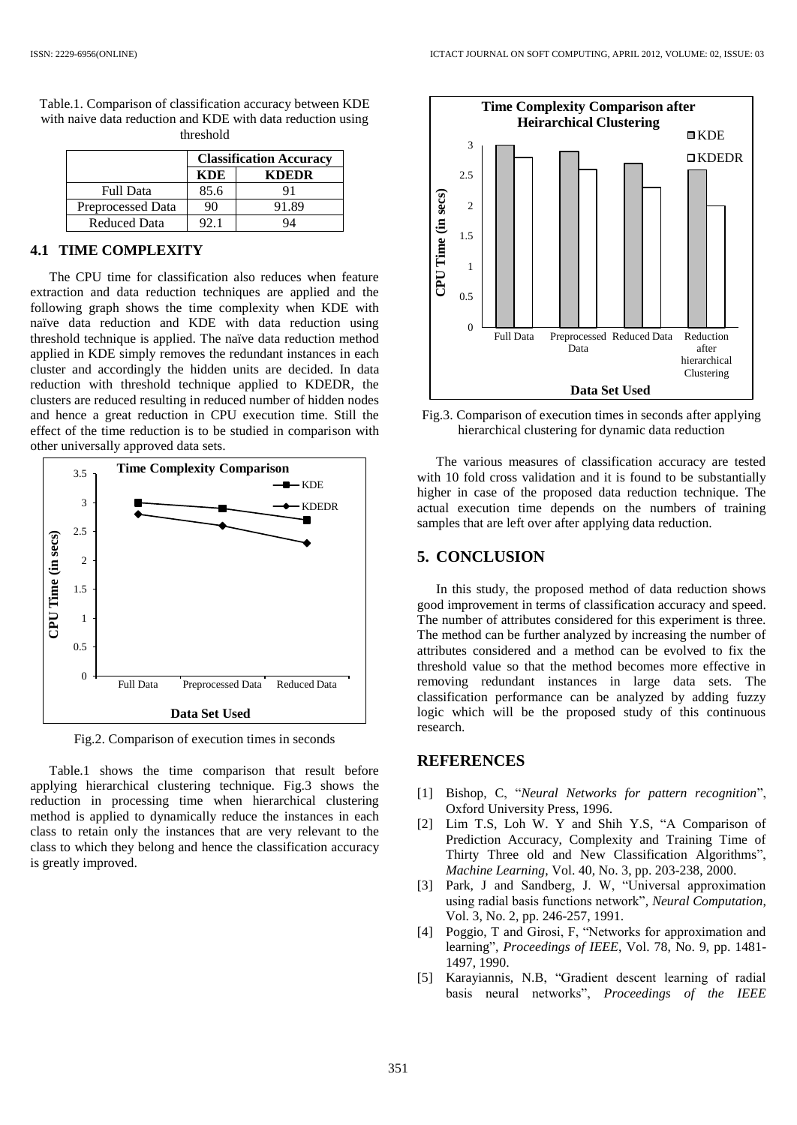|                          | <b>Classification Accuracy</b> |              |
|--------------------------|--------------------------------|--------------|
|                          | KDE                            | <b>KDEDR</b> |
| <b>Full Data</b>         | 85.6                           | Q 1          |
| <b>Preprocessed Data</b> | 90                             | 91.89        |
| <b>Reduced Data</b>      |                                |              |

Table.1. Comparison of classification accuracy between KDE with naive data reduction and KDE with data reduction using threshold

### **4.1 TIME COMPLEXITY**

The CPU time for classification also reduces when feature extraction and data reduction techniques are applied and the following graph shows the time complexity when KDE with naïve data reduction and KDE with data reduction using threshold technique is applied. The naïve data reduction method applied in KDE simply removes the redundant instances in each cluster and accordingly the hidden units are decided. In data reduction with threshold technique applied to KDEDR, the clusters are reduced resulting in reduced number of hidden nodes and hence a great reduction in CPU execution time. Still the effect of the time reduction is to be studied in comparison with other universally approved data sets.



Fig.2. Comparison of execution times in seconds

Table.1 shows the time comparison that result before applying hierarchical clustering technique. Fig.3 shows the reduction in processing time when hierarchical clustering method is applied to dynamically reduce the instances in each class to retain only the instances that are very relevant to the class to which they belong and hence the classification accuracy is greatly improved.



Fig.3. Comparison of execution times in seconds after applying hierarchical clustering for dynamic data reduction

The various measures of classification accuracy are tested with 10 fold cross validation and it is found to be substantially higher in case of the proposed data reduction technique. The actual execution time depends on the numbers of training samples that are left over after applying data reduction.

### **5. CONCLUSION**

In this study, the proposed method of data reduction shows good improvement in terms of classification accuracy and speed. The number of attributes considered for this experiment is three. The method can be further analyzed by increasing the number of attributes considered and a method can be evolved to fix the threshold value so that the method becomes more effective in removing redundant instances in large data sets. The classification performance can be analyzed by adding fuzzy logic which will be the proposed study of this continuous research.

### **REFERENCES**

- [1] Bishop, C, "*Neural Networks for pattern recognition*", Oxford University Press, 1996.
- [2] Lim T.S, Loh W. Y and Shih Y.S, "A Comparison of Prediction Accuracy, Complexity and Training Time of Thirty Three old and New Classification Algorithms", *Machine Learning*, Vol. 40, No. 3, pp. 203-238, 2000.
- [3] Park, J and Sandberg, J. W, "Universal approximation using radial basis functions network", *Neural Computation*, Vol. 3, No. 2, pp. 246-257, 1991.
- [4] Poggio, T and Girosi, F, "Networks for approximation and learning", *Proceedings of IEEE*, Vol. 78, No. 9, pp. 1481- 1497, 1990.
- [5] Karayiannis, N.B, "Gradient descent learning of radial basis neural networks", *Proceedings of the IEEE*